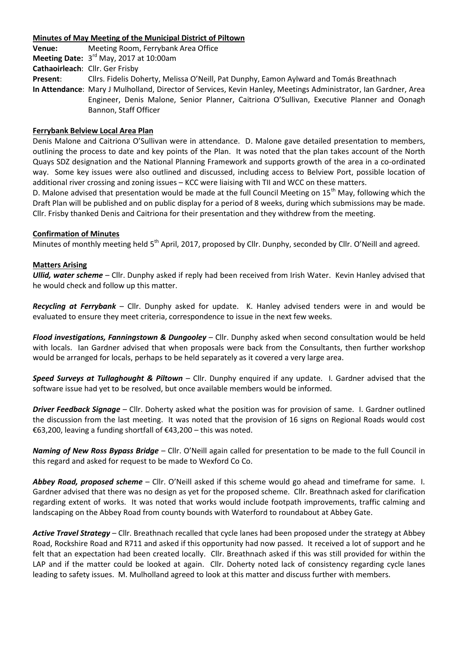#### **Minutes of May Meeting of the Municipal District of Piltown**

**Venue:** Meeting Room, Ferrybank Area Office **Meeting Date:** 3 rd May, 2017 at 10:00am

**Cathaoirleach**: Cllr. Ger Frisby

**Present**: Cllrs. Fidelis Doherty, Melissa O'Neill, Pat Dunphy, Eamon Aylward and Tomás Breathnach

**In Attendance**: Mary J Mulholland, Director of Services, Kevin Hanley, Meetings Administrator, Ian Gardner, Area Engineer, Denis Malone, Senior Planner, Caitriona O'Sullivan, Executive Planner and Oonagh Bannon, Staff Officer

## **Ferrybank Belview Local Area Plan**

Denis Malone and Caitriona O'Sullivan were in attendance. D. Malone gave detailed presentation to members, outlining the process to date and key points of the Plan. It was noted that the plan takes account of the North Quays SDZ designation and the National Planning Framework and supports growth of the area in a co-ordinated way. Some key issues were also outlined and discussed, including access to Belview Port, possible location of additional river crossing and zoning issues – KCC were liaising with TII and WCC on these matters.

D. Malone advised that presentation would be made at the full Council Meeting on 15<sup>th</sup> May, following which the Draft Plan will be published and on public display for a period of 8 weeks, during which submissions may be made. Cllr. Frisby thanked Denis and Caitriona for their presentation and they withdrew from the meeting.

### **Confirmation of Minutes**

Minutes of monthly meeting held 5<sup>th</sup> April, 2017, proposed by Cllr. Dunphy, seconded by Cllr. O'Neill and agreed.

### **Matters Arising**

*Ullid, water scheme* – Cllr. Dunphy asked if reply had been received from Irish Water. Kevin Hanley advised that he would check and follow up this matter.

*Recycling at Ferrybank* – Cllr. Dunphy asked for update. K. Hanley advised tenders were in and would be evaluated to ensure they meet criteria, correspondence to issue in the next few weeks.

*Flood investigations, Fanningstown & Dungooley* – Cllr. Dunphy asked when second consultation would be held with locals. Ian Gardner advised that when proposals were back from the Consultants, then further workshop would be arranged for locals, perhaps to be held separately as it covered a very large area.

*Speed Surveys at Tullaghought & Piltown* – Cllr. Dunphy enquired if any update. I. Gardner advised that the software issue had yet to be resolved, but once available members would be informed.

*Driver Feedback Signage* – Cllr. Doherty asked what the position was for provision of same. I. Gardner outlined the discussion from the last meeting. It was noted that the provision of 16 signs on Regional Roads would cost €63,200, leaving a funding shortfall of €43,200 – this was noted.

*Naming of New Ross Bypass Bridge* – Cllr. O'Neill again called for presentation to be made to the full Council in this regard and asked for request to be made to Wexford Co Co.

*Abbey Road, proposed scheme* – Cllr. O'Neill asked if this scheme would go ahead and timeframe for same. I. Gardner advised that there was no design as yet for the proposed scheme. Cllr. Breathnach asked for clarification regarding extent of works. It was noted that works would include footpath improvements, traffic calming and landscaping on the Abbey Road from county bounds with Waterford to roundabout at Abbey Gate.

*Active Travel Strategy* – Cllr. Breathnach recalled that cycle lanes had been proposed under the strategy at Abbey Road, Rockshire Road and R711 and asked if this opportunity had now passed. It received a lot of support and he felt that an expectation had been created locally. Cllr. Breathnach asked if this was still provided for within the LAP and if the matter could be looked at again. Cllr. Doherty noted lack of consistency regarding cycle lanes leading to safety issues. M. Mulholland agreed to look at this matter and discuss further with members.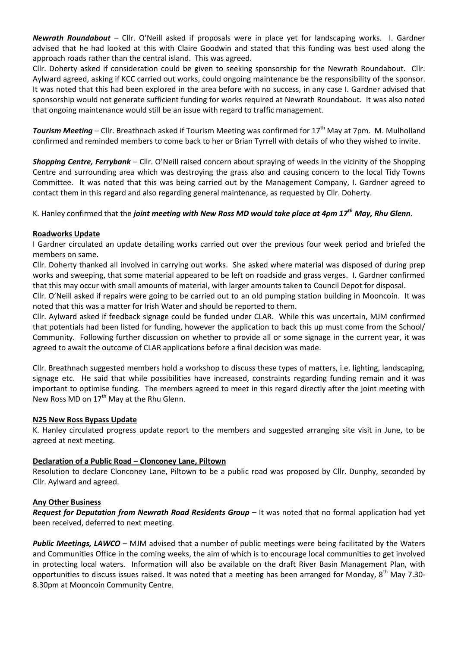*Newrath Roundabout* – Cllr. O'Neill asked if proposals were in place yet for landscaping works. I. Gardner advised that he had looked at this with Claire Goodwin and stated that this funding was best used along the approach roads rather than the central island. This was agreed.

Cllr. Doherty asked if consideration could be given to seeking sponsorship for the Newrath Roundabout. Cllr. Aylward agreed, asking if KCC carried out works, could ongoing maintenance be the responsibility of the sponsor. It was noted that this had been explored in the area before with no success, in any case I. Gardner advised that sponsorship would not generate sufficient funding for works required at Newrath Roundabout. It was also noted that ongoing maintenance would still be an issue with regard to traffic management.

*Tourism Meeting* – Cllr. Breathnach asked if Tourism Meeting was confirmed for 17<sup>th</sup> May at 7pm. M. Mulholland confirmed and reminded members to come back to her or Brian Tyrrell with details of who they wished to invite.

*Shopping Centre, Ferrybank* – Cllr. O'Neill raised concern about spraying of weeds in the vicinity of the Shopping Centre and surrounding area which was destroying the grass also and causing concern to the local Tidy Towns Committee. It was noted that this was being carried out by the Management Company, I. Gardner agreed to contact them in this regard and also regarding general maintenance, as requested by Cllr. Doherty.

K. Hanley confirmed that the *joint meeting with New Ross MD would take place at 4pm 17th May, Rhu Glenn*.

### **Roadworks Update**

I Gardner circulated an update detailing works carried out over the previous four week period and briefed the members on same.

Cllr. Doherty thanked all involved in carrying out works. She asked where material was disposed of during prep works and sweeping, that some material appeared to be left on roadside and grass verges. I. Gardner confirmed that this may occur with small amounts of material, with larger amounts taken to Council Depot for disposal.

Cllr. O'Neill asked if repairs were going to be carried out to an old pumping station building in Mooncoin. It was noted that this was a matter for Irish Water and should be reported to them.

Cllr. Aylward asked if feedback signage could be funded under CLAR. While this was uncertain, MJM confirmed that potentials had been listed for funding, however the application to back this up must come from the School/ Community. Following further discussion on whether to provide all or some signage in the current year, it was agreed to await the outcome of CLAR applications before a final decision was made.

Cllr. Breathnach suggested members hold a workshop to discuss these types of matters, i.e. lighting, landscaping, signage etc. He said that while possibilities have increased, constraints regarding funding remain and it was important to optimise funding. The members agreed to meet in this regard directly after the joint meeting with New Ross MD on  $17<sup>th</sup>$  May at the Rhu Glenn.

#### **N25 New Ross Bypass Update**

K. Hanley circulated progress update report to the members and suggested arranging site visit in June, to be agreed at next meeting.

# **Declaration of a Public Road – Clonconey Lane, Piltown**

Resolution to declare Clonconey Lane, Piltown to be a public road was proposed by Cllr. Dunphy, seconded by Cllr. Aylward and agreed.

#### **Any Other Business**

*Request for Deputation from Newrath Road Residents Group –* It was noted that no formal application had yet been received, deferred to next meeting.

Public Meetings, LAWCO – MJM advised that a number of public meetings were being facilitated by the Waters and Communities Office in the coming weeks, the aim of which is to encourage local communities to get involved in protecting local waters. Information will also be available on the draft River Basin Management Plan, with opportunities to discuss issues raised. It was noted that a meeting has been arranged for Monday,  $8^{th}$  May 7.30-8.30pm at Mooncoin Community Centre.